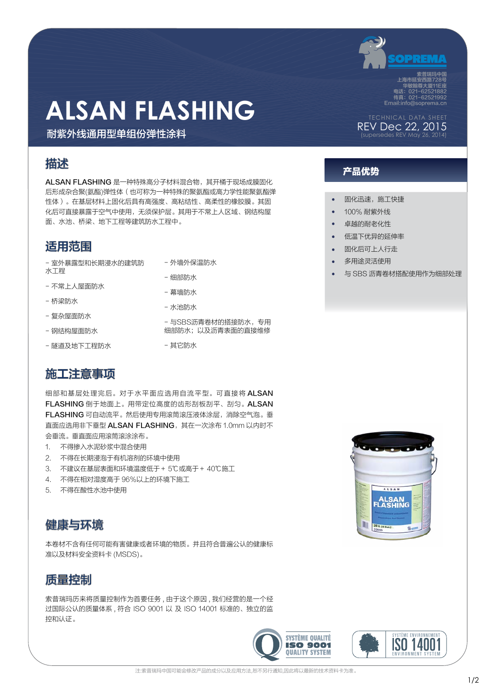

索普瑞玛中国 上海市延安西路728号 华敏翰尊大厦11E座 电话:021-62521882 传真:021-62521992 Email:info@soprema.cn

## ALSAN FLASHING

耐紫外线通用型单组份弹性涂料

ALSAN FLASHING 是一种特殊高分子材料混合物, 其开桶于现场成膜固化 后形成杂合聚(氨酯)弹性体(也可称为一种特殊的聚氨酯或高力学性能聚氨酯弹 性体)。在基层材料上固化后具有高强度、高粘结性、高柔性的橡胶膜。其固 化后可直接暴露于空气中使用,无须保护层。其用于不常上人区域、钢结构屋 面、水池、桥梁、地下工程等建筑防水工程中。

#### 适用范围

- 室外暴露型和长期浸水的建筑防 水工程
- 不常上人屋面防水
- 桥梁防水
- 复杂屋面防水
- 钢结构屋面防水
- 隧道及地下工程防水
- 外墙外保温防水
- 细部防水
- 幕墙防水
- 水池防水

- 与SBS沥青卷材的搭接防水,专用 细部防水;以及沥青表面的直接维修

- 其它防水

#### 施工注意事项

细部和基层处理完后。对于水平面应选用自流平型。可直接将 ALSAN FLASHING 倒于地面上。用带定位高度的齿形刮板刮平、刮匀。ALSAN FLASHING 可自动流平。然后使用专用滚筒滚压液体涂层,消除空气泡。垂 直面应选用非下垂型 ALSAN FLASHING,其在一次涂布 1.0mm 以内时不 会垂流。垂直面应用滚筒滚涂涂布。

- 1. 不得掺入水泥砂浆中混合使用
- 2. 不得在长期浸泡于有机溶剂的环境中使用
- 3. 不建议在基层表面和环境温度低于+ 5℃或高于+ 40℃施工
- 4. 不得在相对湿度高于 96%以上的环境下施工
- 5. 不得在酸性水池中使用



本卷材不含有任何可能有害健康或者环境的物质。并且符合普遍公认的健康标 准以及材料安全资料卡 (MSDS)。



索普瑞玛历来将质量控制作为首要任务 , 由于这个原因 , 我们经营的是一个经 过国际公认的质量体系 , 符合 ISO 9001 以 及 ISO 14001 标准的、独立的监 控和认证。





ALSAN<br>ASHING

FI

20 L (5 Gol.)

I



### 产品优势 描述

- 固化迅速, 施工快捷
- 100% 耐紫外线
- **卓**越的耐老化性
- 低温下优异的延伸率
- 固化后可上人行走
- 多用涂灵活使用
- 与 SBS 沥青卷材搭配使用作为细部处理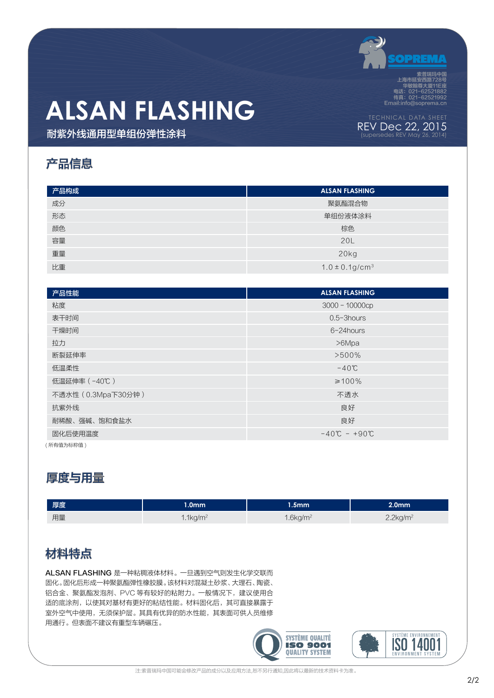

REV Dec 22, 2015 (supersedes REV May 26, 2014)

索普瑞玛中国 上海市延安西路728号 华敏翰尊大厦11E座 电话:021-62521882 传真:021-62521992 Email:info@soprema.cn

# **ALSAN FLASHING**

耐紫外线通用型单组份弹性涂料

### 产品信息

| 产品构成 | <b>ALSAN FLASHING</b>           |  |  |
|------|---------------------------------|--|--|
| 成分   | 聚氨酯混合物                          |  |  |
| 形态   | 单组份液体涂料                         |  |  |
| 颜色   | 棕色                              |  |  |
| 容量   | 20L                             |  |  |
| 重量   | 20kg                            |  |  |
| 比重   | $1.0 \pm 0.1$ g/cm <sup>3</sup> |  |  |

| 产品性能               | <b>ALSAN FLASHING</b>         |  |  |
|--------------------|-------------------------------|--|--|
| 粘度                 | $3000 - 10000cp$              |  |  |
| 表干时间               | $0.5 - 3$ hours               |  |  |
| 干燥时间               | $6 - 24$ hours                |  |  |
| 拉力                 | >6Mpa                         |  |  |
| 断裂延伸率              | $>500\%$                      |  |  |
| 低温柔性               | $-40^{\circ}$ C               |  |  |
| 低温延伸率 (-40℃)       | $\geq 100\%$                  |  |  |
| 不透水性 (0.3Mpa下30分钟) | 不透水                           |  |  |
| 抗紫外线               | 良好                            |  |  |
| 耐稀酸、强碱、饱和食盐水       | 良好                            |  |  |
| 固化后使用温度            | $-40^{\circ}C - +90^{\circ}C$ |  |  |

( 所有值为标称值 )

### 厚度与用量

| 厚度 | $1.0$ mm $^{\dagger}$   | $1.5$ mm $^{\circ}$     | 2.0 <sub>mm</sub>       |
|----|-------------------------|-------------------------|-------------------------|
| 用量 | $1.1$ kg/m <sup>2</sup> | $1.6$ kg/m <sup>2</sup> | $2.2$ kg/m <sup>2</sup> |
|    |                         |                         |                         |

### 材料特点

ALSAN FLASHING 是一种粘稠液体材料。一旦遇到空气则发生化学交联而 固化。固化后形成一种聚氨酯弹性橡胶膜。该材料对混凝土砂浆、大理石、陶瓷、 铝合金、聚氨酯发泡剂、PVC 等有较好的粘附力。一般情况下,建议使用合 适的底涂剂,以使其对基材有更好的粘结性能。材料固化后,其可直接暴露于 室外空气中使用,无须保护层。其具有优异的防水性能,其表面可供人员维修 用通行。但表面不建议有重型车辆碾压。



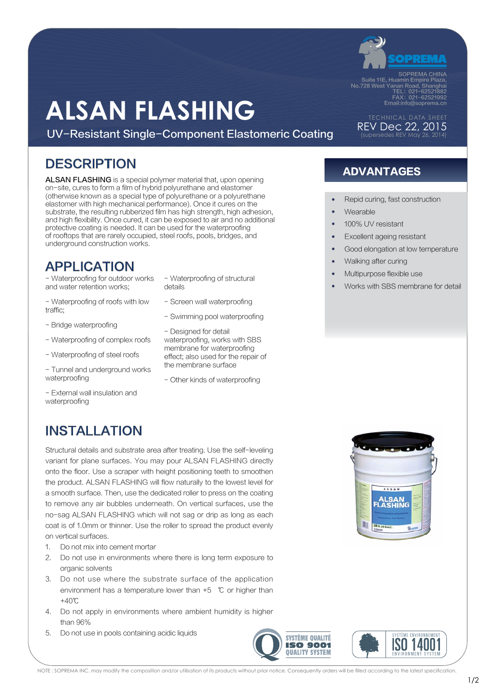

SOPREMA CHINA<br>Suite 11E, Huamin Empire Plaza,<br>No.728 West Yanan Road, Shanghai<br>TEL: 021–62521882<br>FAX: 021–62521992 Email:info@soprema.cn

REV Dec 22, 2015 (supersedes REV May 26, 2014)

# **ALSAN FLASHING**

UV-Resistant Single-Component Elastomeric Coating

### DESCRIPTION ADVANTAGES

ALSAN FLASHING is a special polymer material that, upon opening on-site, cures to form a film of hybrid polyurethane and elastomer (otherwise known as a special type of polyurethane or a polyurethane elastomer with high mechanical performance). Once it cures on the substrate, the resulting rubberized film has high strength, high adhesion, and high flexibility. Once cured, it can be exposed to air and no additional protective coating is needed. It can be used for the waterproofing of rooftops that are rarely occupied, steel roofs, pools, bridges, and underground construction works.

### APPLICATION

- Waterproofing for outdoor works and water retention works;

- Waterproofing of roofs with low traffic;
- Bridge waterproofing
- Waterproofing of complex roofs
- Waterproofing of steel roofs
- Tunnel and underground works waterproofing
- External wall insulation and waterproofing
- Waterproofing of structural details
- Screen wall waterproofing
- Swimming pool waterproofing
- Designed for detail waterproofing, works with SBS membrane for waterproofing effect; also used for the repair of the membrane surface
- Other kinds of waterproofing

- Repid curing, fast construction
- **Wearable**
- 100% LIV resistant
- **Excellent ageing resistant**
- Good elongation at low temperature
- Walking after curing
- Multipurpose flexible use
- Works with SBS membrane for detail

### INSTALLATION

Structural details and substrate area after treating. Use the self-leveling variant for plane surfaces. You may pour ALSAN FLASHING directly onto the floor. Use a scraper with height positioning teeth to smoothen the product. ALSAN FLASHING will flow naturally to the lowest level for a smooth surface. Then, use the dedicated roller to press on the coating to remove any air bubbles underneath. On vertical surfaces, use the no-sag ALSAN FLASHING which will not sag or drip as long as each coat is of 1.0mm or thinner. Use the roller to spread the product evenly on vertical surfaces.

- 1. Do not mix into cement mortar
- 2. Do not use in environments where there is long term exposure to organic solvents
- 3. Do not use where the substrate surface of the application environment has a temperature lower than +5 ℃ or higher than +40℃
- 4. Do not apply in environments where ambient humidity is higher than 96%
- 5. Do not use in pools containing acidic liquids